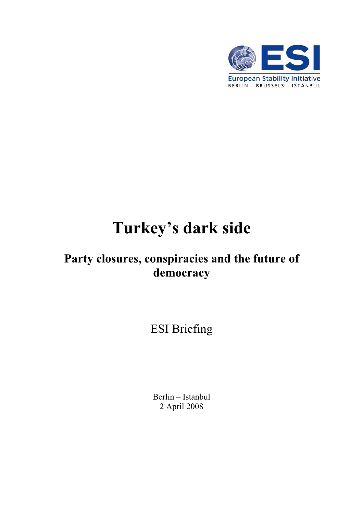

# **Turkey's dark side**

# **Party closures, conspiracies and the future of democracy**

ESI Briefing

Berlin – Istanbul 2 April 2008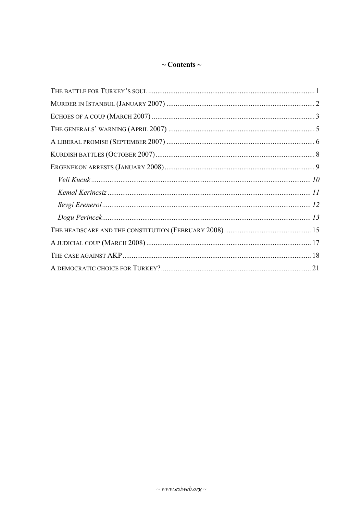# $\sim$  Contents  $\sim$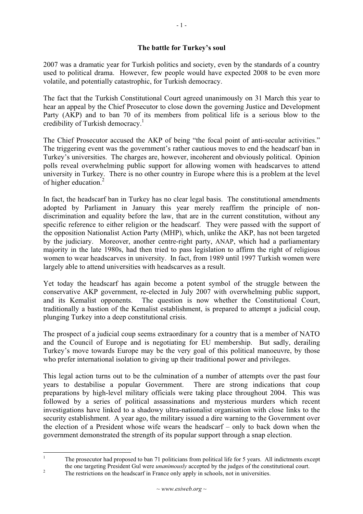#### **The battle for Turkey's soul**

2007 was a dramatic year for Turkish politics and society, even by the standards of a country used to political drama. However, few people would have expected 2008 to be even more volatile, and potentially catastrophic, for Turkish democracy.

The fact that the Turkish Constitutional Court agreed unanimously on 31 March this year to hear an appeal by the Chief Prosecutor to close down the governing Justice and Development Party (AKP) and to ban 70 of its members from political life is a serious blow to the credibility of Turkish democracy.<sup>1</sup>

The Chief Prosecutor accused the AKP of being "the focal point of anti-secular activities." The triggering event was the government's rather cautious moves to end the headscarf ban in Turkey's universities. The charges are, however, incoherent and obviously political. Opinion polls reveal overwhelming public support for allowing women with headscarves to attend university in Turkey. There is no other country in Europe where this is a problem at the level of higher education.<sup>2</sup>

In fact, the headscarf ban in Turkey has no clear legal basis. The constitutional amendments adopted by Parliament in January this year merely reaffirm the principle of nondiscrimination and equality before the law, that are in the current constitution, without any specific reference to either religion or the headscarf. They were passed with the support of the opposition Nationalist Action Party (MHP), which, unlike the AKP, has not been targeted by the judiciary. Moreover, another centre-right party, ANAP, which had a parliamentary majority in the late 1980s, had then tried to pass legislation to affirm the right of religious women to wear headscarves in university. In fact, from 1989 until 1997 Turkish women were largely able to attend universities with headscarves as a result.

Yet today the headscarf has again become a potent symbol of the struggle between the conservative AKP government, re-elected in July 2007 with overwhelming public support, and its Kemalist opponents. The question is now whether the Constitutional Court, traditionally a bastion of the Kemalist establishment, is prepared to attempt a judicial coup, plunging Turkey into a deep constitutional crisis.

The prospect of a judicial coup seems extraordinary for a country that is a member of NATO and the Council of Europe and is negotiating for EU membership. But sadly, derailing Turkey's move towards Europe may be the very goal of this political manoeuvre, by those who prefer international isolation to giving up their traditional power and privileges.

This legal action turns out to be the culmination of a number of attempts over the past four years to destabilise a popular Government. There are strong indications that coup preparations by high-level military officials were taking place throughout 2004. This was followed by a series of political assassinations and mysterious murders which recent investigations have linked to a shadowy ultra-nationalist organisation with close links to the security establishment. A year ago, the military issued a dire warning to the Government over the election of a President whose wife wears the headscarf – only to back down when the government demonstrated the strength of its popular support through a snap election.

1

The prosecutor had proposed to ban 71 politicians from political life for 5 years. All indictments except the one targeting President Gul were *unanimously* accepted by the judges of the constitutional court.

The restrictions on the headscarf in France only apply in schools, not in universities.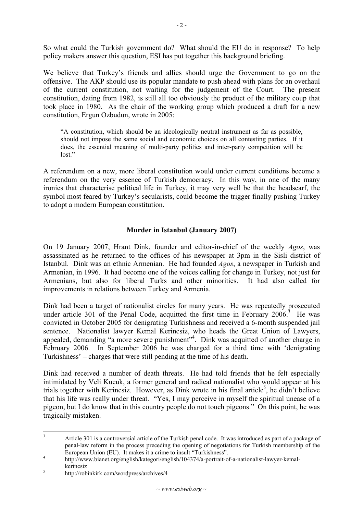So what could the Turkish government do? What should the EU do in response? To help policy makers answer this question, ESI has put together this background briefing.

We believe that Turkey's friends and allies should urge the Government to go on the offensive. The AKP should use its popular mandate to push ahead with plans for an overhaul of the current constitution, not waiting for the judgement of the Court. The present constitution, dating from 1982, is still all too obviously the product of the military coup that took place in 1980. As the chair of the working group which produced a draft for a new constitution, Ergun Ozbudun, wrote in 2005:

"A constitution, which should be an ideologically neutral instrument as far as possible, should not impose the same social and economic choices on all contesting parties. If it does, the essential meaning of multi-party politics and inter-party competition will be lost."

A referendum on a new, more liberal constitution would under current conditions become a referendum on the very essence of Turkish democracy. In this way, in one of the many ironies that characterise political life in Turkey, it may very well be that the headscarf, the symbol most feared by Turkey's secularists, could become the trigger finally pushing Turkey to adopt a modern European constitution.

#### **Murder in Istanbul (January 2007)**

On 19 January 2007, Hrant Dink, founder and editor-in-chief of the weekly *Agos*, was assassinated as he returned to the offices of his newspaper at 3pm in the Sisli district of Istanbul. Dink was an ethnic Armenian. He had founded *Agos*, a newspaper in Turkish and Armenian, in 1996. It had become one of the voices calling for change in Turkey, not just for Armenians, but also for liberal Turks and other minorities. It had also called for improvements in relations between Turkey and Armenia.

Dink had been a target of nationalist circles for many years. He was repeatedly prosecuted under article 301 of the Penal Code, acquitted the first time in February  $2006$ .<sup>3</sup> He was convicted in October 2005 for denigrating Turkishness and received a 6-month suspended jail sentence. Nationalist lawyer Kemal Kerincsiz, who heads the Great Union of Lawyers, appealed, demanding "a more severe punishment"<sup>4</sup>. Dink was acquitted of another charge in February 2006. In September 2006 he was charged for a third time with 'denigrating Turkishness' – charges that were still pending at the time of his death.

Dink had received a number of death threats. He had told friends that he felt especially intimidated by Veli Kucuk, a former general and radical nationalist who would appear at his trials together with Kerincsiz. However, as Dink wrote in his final article<sup>5</sup>, he didn't believe that his life was really under threat. "Yes, I may perceive in myself the spiritual unease of a pigeon, but I do know that in this country people do not touch pigeons." On this point, he was tragically mistaken.

<sup>3</sup> Article 301 is a controversial article of the Turkish penal code. It was introduced as part of a package of penal-law reform in the process preceding the opening of negotiations for Turkish membership of the European Union (EU). It makes it a crime to insult "Turkishness".

http://www.bianet.org/english/kategori/english/104374/a-portrait-of-a-nationalist-lawyer-kemal $k$ erincsiz

http://robinkirk.com/wordpress/archives/4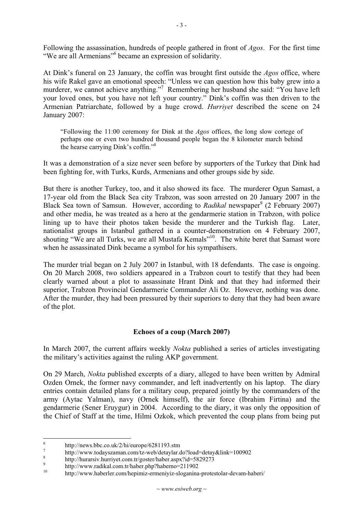Following the assassination, hundreds of people gathered in front of *Agos*. For the first time "We are all Armenians"<sup>6</sup> became an expression of solidarity.

At Dink's funeral on 23 January, the coffin was brought first outside the *Agos* office, where his wife Rakel gave an emotional speech: "Unless we can question how this baby grew into a murderer, we cannot achieve anything."<sup>7</sup> Remembering her husband she said: "You have left your loved ones, but you have not left your country." Dink's coffin was then driven to the Armenian Patriarchate, followed by a huge crowd. *Hurriyet* described the scene on 24 January 2007:

"Following the 11:00 ceremony for Dink at the *Agos* offices, the long slow cortege of perhaps one or even two hundred thousand people began the 8 kilometer march behind the hearse carrying Dink's coffin."<sup>8</sup>

It was a demonstration of a size never seen before by supporters of the Turkey that Dink had been fighting for, with Turks, Kurds, Armenians and other groups side by side.

But there is another Turkey, too, and it also showed its face. The murderer Ogun Samast, a 17-year old from the Black Sea city Trabzon, was soon arrested on 20 January 2007 in the Black Sea town of Samsun. However, according to *Radikal* newspaper<sup>9</sup> (2 February 2007) and other media, he was treated as a hero at the gendarmerie station in Trabzon, with police lining up to have their photos taken beside the murderer and the Turkish flag. Later, nationalist groups in Istanbul gathered in a counter-demonstration on 4 February 2007, shouting "We are all Turks, we are all Mustafa Kemals"<sup>10</sup>. The white beret that Samast wore when he assassinated Dink became a symbol for his sympathisers.

The murder trial began on 2 July 2007 in Istanbul, with 18 defendants. The case is ongoing. On 20 March 2008, two soldiers appeared in a Trabzon court to testify that they had been clearly warned about a plot to assassinate Hrant Dink and that they had informed their superior, Trabzon Provincial Gendarmerie Commander Ali Oz. However, nothing was done. After the murder, they had been pressured by their superiors to deny that they had been aware of the plot.

#### **Echoes of a coup (March 2007)**

In March 2007, the current affairs weekly *Nokta* published a series of articles investigating the military's activities against the ruling AKP government.

On 29 March, *Nokta* published excerpts of a diary, alleged to have been written by Admiral Ozden Ornek, the former navy commander, and left inadvertently on his laptop. The diary entries contain detailed plans for a military coup, prepared jointly by the commanders of the army (Aytac Yalman), navy (Ornek himself), the air force (Ibrahim Firtina) and the gendarmerie (Sener Eruygur) in 2004. According to the diary, it was only the opposition of the Chief of Staff at the time, Hilmi Ozkok, which prevented the coup plans from being put

<sup>6</sup> http://news.bbc.co.uk/2/hi/europe/6281193.stm

<sup>7</sup> http://www.todayszaman.com/tz-web/detaylar.do?load=detay&link=100902<br>
shttp://www.todayszaman.com/tz-web/detaylar.do?load=detay&link=100902

http://hurarsiv.hurriyet.com.tr/goster/haber.aspx?id=5829273<br>http://www.radikal.com.tr/haber.php?haberno=211902

 $\overline{9}$ 

http://www.haberler.com/hepimiz-ermeniyiz-sloganina-protestolar-devam-haberi/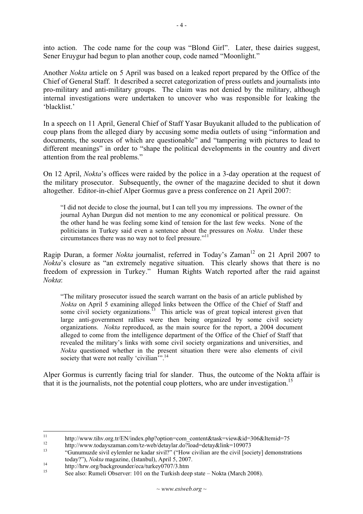into action. The code name for the coup was "Blond Girl". Later, these dairies suggest, Sener Eruygur had begun to plan another coup, code named "Moonlight."

Another *Nokta* article on 5 April was based on a leaked report prepared by the Office of the Chief of General Staff. It described a secret categorization of press outlets and journalists into pro-military and anti-military groups. The claim was not denied by the military, although internal investigations were undertaken to uncover who was responsible for leaking the 'blacklist.'

In a speech on 11 April, General Chief of Staff Yasar Buyukanit alluded to the publication of coup plans from the alleged diary by accusing some media outlets of using "information and documents, the sources of which are questionable" and "tampering with pictures to lead to different meanings" in order to "shape the political developments in the country and divert attention from the real problems."

On 12 April, *Nokta*'s offices were raided by the police in a 3-day operation at the request of the military prosecutor. Subsequently, the owner of the magazine decided to shut it down altogether. Editor-in-chief Alper Gormus gave a press conference on 21 April 2007:

"I did not decide to close the journal, but I can tell you my impressions. The owner of the journal Ayhan Durgun did not mention to me any economical or political pressure. On the other hand he was feeling some kind of tension for the last few weeks. None of the politicians in Turkey said even a sentence about the pressures on *Nokta*. Under these circumstances there was no way not to feel pressure."<sup>11</sup>

Ragip Duran, a former *Nokta* journalist, referred in Today's Zaman<sup>12</sup> on 21 April 2007 to *Nokta*'s closure as "an extremely negative situation. This clearly shows that there is no freedom of expression in Turkey." Human Rights Watch reported after the raid against *Nokta*:

"The military prosecutor issued the search warrant on the basis of an article published by *Nokta* on April 5 examining alleged links between the Office of the Chief of Staff and some civil society organizations.<sup>13</sup> This article was of great topical interest given that large anti-government rallies were then being organized by some civil society organizations. *Nokta* reproduced, as the main source for the report, a 2004 document alleged to come from the intelligence department of the Office of the Chief of Staff that revealed the military's links with some civil society organizations and universities, and *Nokta* questioned whether in the present situation there were also elements of civil society that were not really 'civilian<sup>3</sup>".<sup>14</sup>

Alper Gormus is currently facing trial for slander. Thus, the outcome of the Nokta affair is that it is the journalists, not the potential coup plotters, who are under investigation.<sup>15</sup>

<sup>11</sup> http://www.tihv.org.tr/EN/index.php?option=com\_content&task=view&id=306&Itemid=75<br>
http://www.todayszaman.com/tz-web/detaylar.do?load=detay&link=109073<br>
"Gunumuzde sivil eylemler ne kadar sivil?" ("How civilian are the

today?"), *Nokta* magazine, (Istanbul), April 5, 2007.<br>
http://hrw.org/backgrounder/eca/turkey0707/3.htm<br>
See also: Bumali Observer: 101 on the Turkish deep

See also: Rumeli Observer: 101 on the Turkish deep state – Nokta (March 2008).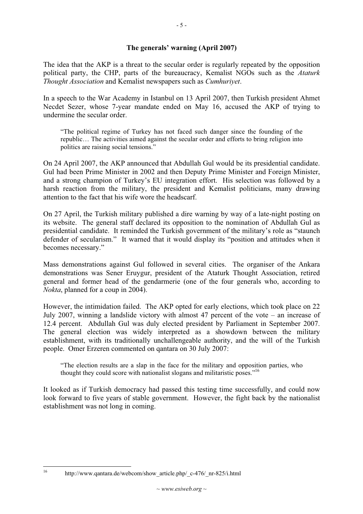#### **The generals' warning (April 2007)**

The idea that the AKP is a threat to the secular order is regularly repeated by the opposition political party, the CHP, parts of the bureaucracy, Kemalist NGOs such as the *Ataturk Thought Association* and Kemalist newspapers such as *Cumhuriyet*.

In a speech to the War Academy in Istanbul on 13 April 2007, then Turkish president Ahmet Necdet Sezer, whose 7-year mandate ended on May 16, accused the AKP of trying to undermine the secular order.

"The political regime of Turkey has not faced such danger since the founding of the republic… The activities aimed against the secular order and efforts to bring religion into politics are raising social tensions."

On 24 April 2007, the AKP announced that Abdullah Gul would be its presidential candidate. Gul had been Prime Minister in 2002 and then Deputy Prime Minister and Foreign Minister, and a strong champion of Turkey's EU integration effort. His selection was followed by a harsh reaction from the military, the president and Kemalist politicians, many drawing attention to the fact that his wife wore the headscarf.

On 27 April, the Turkish military published a dire warning by way of a late-night posting on its website. The general staff declared its opposition to the nomination of Abdullah Gul as presidential candidate. It reminded the Turkish government of the military's role as "staunch defender of secularism." It warned that it would display its "position and attitudes when it becomes necessary."

Mass demonstrations against Gul followed in several cities. The organiser of the Ankara demonstrations was Sener Eruygur, president of the Ataturk Thought Association, retired general and former head of the gendarmerie (one of the four generals who, according to *Nokta*, planned for a coup in 2004).

However, the intimidation failed. The AKP opted for early elections, which took place on 22 July 2007, winning a landslide victory with almost 47 percent of the vote – an increase of 12.4 percent. Abdullah Gul was duly elected president by Parliament in September 2007. The general election was widely interpreted as a showdown between the military establishment, with its traditionally unchallengeable authority, and the will of the Turkish people. Omer Erzeren commented on qantara on 30 July 2007:

"The election results are a slap in the face for the military and opposition parties, who thought they could score with nationalist slogans and militaristic poses."<sup>16</sup>

It looked as if Turkish democracy had passed this testing time successfully, and could now look forward to five years of stable government. However, the fight back by the nationalist establishment was not long in coming.

<sup>16</sup> http://www.qantara.de/webcom/show\_article.php/\_c-476/\_nr-825/i.html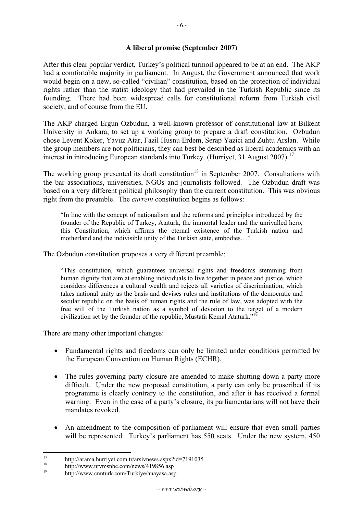#### **A liberal promise (September 2007)**

After this clear popular verdict, Turkey's political turmoil appeared to be at an end. The AKP had a comfortable majority in parliament. In August, the Government announced that work would begin on a new, so-called "civilian" constitution, based on the protection of individual rights rather than the statist ideology that had prevailed in the Turkish Republic since its founding. There had been widespread calls for constitutional reform from Turkish civil society, and of course from the EU.

The AKP charged Ergun Ozbudun, a well-known professor of constitutional law at Bilkent University in Ankara, to set up a working group to prepare a draft constitution. Ozbudun chose Levent Koker, Yavuz Atar, Fazil Husnu Erdem, Serap Yazici and Zuhtu Arslan. While the group members are not politicians, they can best be described as liberal academics with an interest in introducing European standards into Turkey. (Hurriyet, 31 August 2007).<sup>17</sup>

The working group presented its draft constitution<sup>18</sup> in September 2007. Consultations with the bar associations, universities, NGOs and journalists followed. The Ozbudun draft was based on a very different political philosophy than the current constitution. This was obvious right from the preamble. The *current* constitution begins as follows:

"In line with the concept of nationalism and the reforms and principles introduced by the founder of the Republic of Turkey, Ataturk, the immortal leader and the unrivalled hero, this Constitution, which affirms the eternal existence of the Turkish nation and motherland and the indivisible unity of the Turkish state, embodies…"

The Ozbudun constitution proposes a very different preamble:

"This constitution, which guarantees universal rights and freedoms stemming from human dignity that aim at enabling individuals to live together in peace and justice, which considers differences a cultural wealth and rejects all varieties of discrimination, which takes national unity as the basis and devises rules and institutions of the democratic and secular republic on the basis of human rights and the rule of law, was adopted with the free will of the Turkish nation as a symbol of devotion to the target of a modern civilization set by the founder of the republic, Mustafa Kemal Ataturk."19

There are many other important changes:

- Fundamental rights and freedoms can only be limited under conditions permitted by the European Convention on Human Rights (ECHR).
- The rules governing party closure are amended to make shutting down a party more difficult. Under the new proposed constitution, a party can only be proscribed if its programme is clearly contrary to the constitution, and after it has received a formal warning. Even in the case of a party's closure, its parliamentarians will not have their mandates revoked.
- An amendment to the composition of parliament will ensure that even small parties will be represented. Turkey's parliament has 550 seats. Under the new system, 450

<sup>&</sup>lt;sup>17</sup> http://arama.hurriyet.com.tr/arsivnews.aspx?id=7191035<br><sup>18</sup> http://www.ptymore.com/novy/410856.com

<sup>&</sup>lt;sup>18</sup> http://www.ntvmsnbc.com/news/419856.asp

<sup>19</sup> http://www.cnnturk.com/Turkiye/anayasa.asp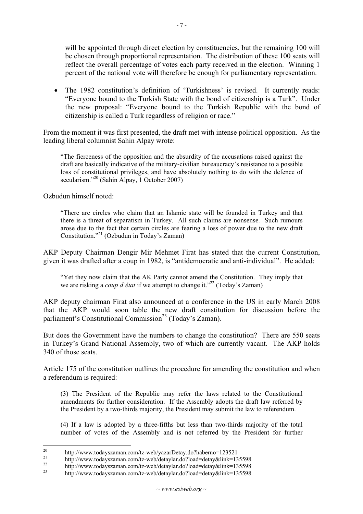will be appointed through direct election by constituencies, but the remaining 100 will be chosen through proportional representation. The distribution of these 100 seats will reflect the overall percentage of votes each party received in the election. Winning 1 percent of the national vote will therefore be enough for parliamentary representation.

• The 1982 constitution's definition of 'Turkishness' is revised. It currently reads: "Everyone bound to the Turkish State with the bond of citizenship is a Turk". Under the new proposal: "Everyone bound to the Turkish Republic with the bond of citizenship is called a Turk regardless of religion or race."

From the moment it was first presented, the draft met with intense political opposition. As the leading liberal columnist Sahin Alpay wrote:

"The fierceness of the opposition and the absurdity of the accusations raised against the draft are basically indicative of the military-civilian bureaucracy's resistance to a possible loss of constitutional privileges, and have absolutely nothing to do with the defence of secularism."<sup>20</sup> (Sahin Alpay, 1 October 2007)

Ozbudun himself noted:

"There are circles who claim that an Islamic state will be founded in Turkey and that there is a threat of separatism in Turkey. All such claims are nonsense. Such rumours arose due to the fact that certain circles are fearing a loss of power due to the new draft Constitution."21 (Ozbudun in Today's Zaman)

AKP Deputy Chairman Dengir Mir Mehmet Firat has stated that the current Constitution, given it was drafted after a coup in 1982, is "antidemocratic and anti-individual". He added:

"Yet they now claim that the AK Party cannot amend the Constitution. They imply that we are risking a *coup d'état* if we attempt to change it."<sup>22</sup> (Today's Zaman)

AKP deputy chairman Firat also announced at a conference in the US in early March 2008 that the AKP would soon table the new draft constitution for discussion before the parliament's Constitutional Commission<sup>23</sup> (Today's Zaman).

But does the Government have the numbers to change the constitution? There are 550 seats in Turkey's Grand National Assembly, two of which are currently vacant. The AKP holds 340 of those seats.

Article 175 of the constitution outlines the procedure for amending the constitution and when a referendum is required:

(3) The President of the Republic may refer the laws related to the Constitutional amendments for further consideration. If the Assembly adopts the draft law referred by the President by a two-thirds majority, the President may submit the law to referendum.

(4) If a law is adopted by a three-fifths but less than two-thirds majority of the total number of votes of the Assembly and is not referred by the President for further

<sup>20</sup> http://www.todayszaman.com/tz-web/yazarDetay.do?haberno=123521<br>http://www.todayszaman.com/tz-web/detaylar.do?load=detay&link=135598

<sup>22</sup> http://www.todayszaman.com/tz-web/detaylar.do?load=detay&link=135598<br>
23 http://www.todayszaman.com/tz-web/detaylar.do?load=detay&link=135598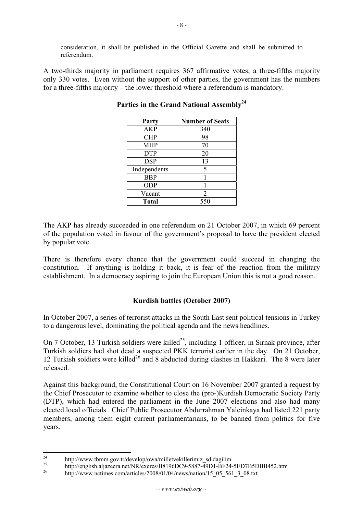consideration, it shall be published in the Official Gazette and shall be submitted to referendum.

A two-thirds majority in parliament requires 367 affirmative votes; a three-fifths majority only 330 votes. Even without the support of other parties, the government has the numbers for a three-fifths majority – the lower threshold where a referendum is mandatory.

| Party        | <b>Number of Seats</b> |
|--------------|------------------------|
| <b>AKP</b>   | 340                    |
| <b>CHP</b>   | 98                     |
| <b>MHP</b>   | 70                     |
| <b>DTP</b>   | 20                     |
| <b>DSP</b>   | 13                     |
| Independents | 5                      |
| <b>BBP</b>   |                        |
| <b>ODP</b>   |                        |
| Vacant       | 2                      |
| <b>Total</b> | 550                    |

Parties in the Grand National Assembly<sup>24</sup>

The AKP has already succeeded in one referendum on 21 October 2007, in which 69 percent of the population voted in favour of the government's proposal to have the president elected by popular vote.

There is therefore every chance that the government could succeed in changing the constitution. If anything is holding it back, it is fear of the reaction from the military establishment. In a democracy aspiring to join the European Union this is not a good reason.

#### **Kurdish battles (October 2007)**

In October 2007, a series of terrorist attacks in the South East sent political tensions in Turkey to a dangerous level, dominating the political agenda and the news headlines.

On 7 October, 13 Turkish soldiers were killed<sup>25</sup>, including 1 officer, in Sirnak province, after Turkish soldiers had shot dead a suspected PKK terrorist earlier in the day. On 21 October, 12 Turkish soldiers were killed<sup>26</sup> and 8 abducted during clashes in Hakkari. The 8 were later released.

Against this background, the Constitutional Court on 16 November 2007 granted a request by the Chief Prosecutor to examine whether to close the (pro-)Kurdish Democratic Society Party (DTP), which had entered the parliament in the June 2007 elections and also had many elected local officials. Chief Public Prosecutor Abdurrahman Yalcinkaya had listed 221 party members, among them eight current parliamentarians, to be banned from politics for five years.

<sup>&</sup>lt;sup>24</sup> http://www.tbmm.gov.tr/develop/owa/milletvekillerimiz\_sd.dagilim

<sup>&</sup>lt;sup>25</sup> http://english.aljazeera.net/NR/exeres/B8196DC9-5887-49D1-BF24-5ED7B5DBB452.htm

http://www.nctimes.com/articles/2008/01/04/news/nation/15\_05\_561\_3\_08.txt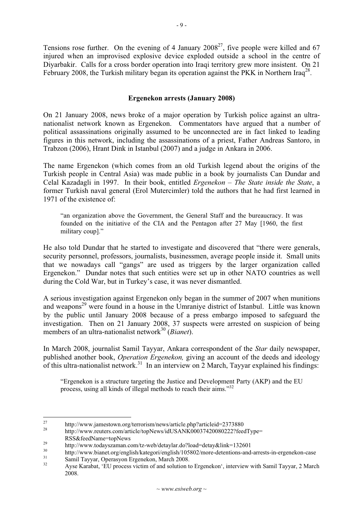Tensions rose further. On the evening of 4 January  $2008^{27}$ , five people were killed and 67 injured when an improvised explosive device exploded outside a school in the centre of Diyarbakir. Calls for a cross border operation into Iraqi territory grew more insistent. On 21 February 2008, the Turkish military began its operation against the PKK in Northern Iraq<sup>28</sup>.

#### **Ergenekon arrests (January 2008)**

On 21 January 2008, news broke of a major operation by Turkish police against an ultranationalist network known as Ergenekon. Commentators have argued that a number of political assassinations originally assumed to be unconnected are in fact linked to leading figures in this network, including the assassinations of a priest, Father Andreas Santoro, in Trabzon (2006), Hrant Dink in Istanbul (2007) and a judge in Ankara in 2006.

The name Ergenekon (which comes from an old Turkish legend about the origins of the Turkish people in Central Asia) was made public in a book by journalists Can Dundar and Celal Kazadagli in 1997. In their book, entitled *Ergenekon – The State inside the State*, a former Turkish naval general (Erol Mutercimler) told the authors that he had first learned in 1971 of the existence of:

"an organization above the Government, the General Staff and the bureaucracy. It was founded on the initiative of the CIA and the Pentagon after 27 May [1960, the first military coup]."

He also told Dundar that he started to investigate and discovered that "there were generals, security personnel, professors, journalists, businessmen, average people inside it. Small units that we nowadays call "gangs" are used as triggers by the larger organization called Ergenekon." Dundar notes that such entities were set up in other NATO countries as well during the Cold War, but in Turkey's case, it was never dismantled.

A serious investigation against Ergenekon only began in the summer of 2007 when munitions and weapons<sup>29</sup> were found in a house in the Umraniye district of Istanbul. Little was known by the public until January 2008 because of a press embargo imposed to safeguard the investigation. Then on 21 January 2008, 37 suspects were arrested on suspicion of being members of an ultra-nationalist network<sup>30</sup> (*Bianet*).

In March 2008, journalist Samil Tayyar, Ankara correspondent of the *Star* daily newspaper, published another book, *Operation Ergenekon,* giving an account of the deeds and ideology of this ultra-nationalist network.<sup>31</sup> In an interview on 2 March, Tayyar explained his findings:

"Ergenekon is a structure targeting the Justice and Development Party (AKP) and the EU process, using all kinds of illegal methods to reach their aims."<sup>32</sup>

<sup>&</sup>lt;sup>27</sup> http://www.jamestown.org/terrorism/news/article.php?articleid=2373880<br>http://www.reuters.com/article/topNews/idUSANK00037420080222?feedType=

RSS&feedName=topNews<br>
http://www.todayszaman.com/tz-web/detaylar.do?load=detay&link=132601<br>
http://www.bianet.org/english/kategori/english/105802/more-detentions-and-arrests-in-ergenekon-case<br>
Samil Tayyar, Operasyon Ergen

Ayse Karabat, 'EU process victim of and solution to Ergenekon', interview with Samil Tayyar, 2 March 2008.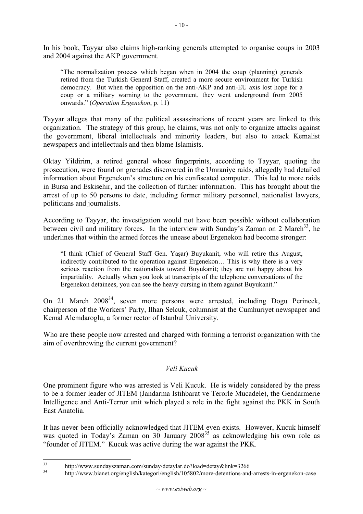In his book, Tayyar also claims high-ranking generals attempted to organise coups in 2003 and 2004 against the AKP government.

"The normalization process which began when in 2004 the coup (planning) generals retired from the Turkish General Staff, created a more secure environment for Turkish democracy. But when the opposition on the anti-AKP and anti-EU axis lost hope for a coup or a military warning to the government, they went underground from 2005 onwards." (*Operation Ergenekon*, p. 11)

Tayyar alleges that many of the political assassinations of recent years are linked to this organization. The strategy of this group, he claims, was not only to organize attacks against the government, liberal intellectuals and minority leaders, but also to attack Kemalist newspapers and intellectuals and then blame Islamists.

Oktay Yildirim, a retired general whose fingerprints, according to Tayyar, quoting the prosecution, were found on grenades discovered in the Umraniye raids, allegedly had detailed information about Ergenekon's structure on his confiscated computer. This led to more raids in Bursa and Eskisehir, and the collection of further information. This has brought about the arrest of up to 50 persons to date, including former military personnel, nationalist lawyers, politicians and journalists.

According to Tayyar, the investigation would not have been possible without collaboration between civil and military forces. In the interview with Sunday's Zaman on 2 March<sup>33</sup>, he underlines that within the armed forces the unease about Ergenekon had become stronger:

"I think (Chief of General Staff Gen. Yaşar) Buyukanit, who will retire this August, indirectly contributed to the operation against Ergenekon… This is why there is a very serious reaction from the nationalists toward Buyukanit; they are not happy about his impartiality. Actually when you look at transcripts of the telephone conversations of the Ergenekon detainees, you can see the heavy cursing in them against Buyukanit."

On 21 March 2008<sup>34</sup>, seven more persons were arrested, including Dogu Perincek, chairperson of the Workers' Party, Ilhan Selcuk, columnist at the Cumhuriyet newspaper and Kemal Alemdaroglu, a former rector of Istanbul University.

Who are these people now arrested and charged with forming a terrorist organization with the aim of overthrowing the current government?

# *Veli Kucuk*

One prominent figure who was arrested is Veli Kucuk. He is widely considered by the press to be a former leader of JITEM (Jandarma Istihbarat ve Terorle Mucadele), the Gendarmerie Intelligence and Anti-Terror unit which played a role in the fight against the PKK in South East Anatolia.

It has never been officially acknowledged that JITEM even exists. However, Kucuk himself was quoted in Today's Zaman on 30 January  $2008^{35}$  as acknowledging his own role as "founder of JITEM." Kucuk was active during the war against the PKK.

<sup>&</sup>lt;sup>33</sup> http://www.sundayszaman.com/sunday/detaylar.do?load=detay&link=3266<br><sup>34</sup>

<sup>34</sup> http://www.bianet.org/english/kategori/english/105802/more-detentions-and-arrests-in-ergenekon-case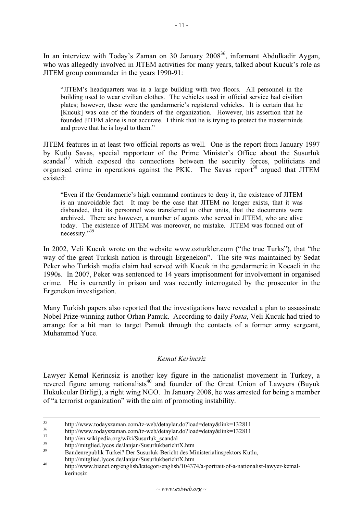In an interview with Today's Zaman on 30 January 2008<sup>36</sup>, informant Abdulkadir Aygan, who was allegedly involved in JITEM activities for many years, talked about Kucuk's role as JITEM group commander in the years 1990-91:

"JITEM's headquarters was in a large building with two floors. All personnel in the building used to wear civilian clothes. The vehicles used in official service had civilian plates; however, these were the gendarmerie's registered vehicles. It is certain that he [Kucuk] was one of the founders of the organization. However, his assertion that he founded JITEM alone is not accurate. I think that he is trying to protect the masterminds and prove that he is loyal to them."

JITEM features in at least two official reports as well. One is the report from January 1997 by Kutlu Savas, special rapporteur of the Prime Minister's Office about the Susurluk scandal<sup>37</sup> which exposed the connections between the security forces, politicians and organised crime in operations against the PKK. The Savas report<sup>38</sup> argued that JITEM existed:

"Even if the Gendarmerie's high command continues to deny it, the existence of JITEM is an unavoidable fact. It may be the case that JITEM no longer exists, that it was disbanded, that its personnel was transferred to other units, that the documents were archived. There are however, a number of agents who served in JITEM, who are alive today. The existence of JITEM was moreover, no mistake. JITEM was formed out of necessity."39

In 2002, Veli Kucuk wrote on the website www.ozturkler.com ("the true Turks"), that "the way of the great Turkish nation is through Ergenekon". The site was maintained by Sedat Peker who Turkish media claim had served with Kucuk in the gendarmerie in Kocaeli in the 1990s. In 2007, Peker was sentenced to 14 years imprisonment for involvement in organised crime. He is currently in prison and was recently interrogated by the prosecutor in the Ergenekon investigation.

Many Turkish papers also reported that the investigations have revealed a plan to assassinate Nobel Prize-winning author Orhan Pamuk. According to daily *Posta*, Veli Kucuk had tried to arrange for a hit man to target Pamuk through the contacts of a former army sergeant, Muhammed Yuce.

### *Kemal Kerincsiz*

Lawyer Kemal Kerincsiz is another key figure in the nationalist movement in Turkey, a revered figure among nationalists<sup>40</sup> and founder of the Great Union of Lawyers (Buyuk Hukukcular Birligi), a right wing NGO. In January 2008, he was arrested for being a member of "a terrorist organization" with the aim of promoting instability.

<sup>&</sup>lt;sup>35</sup> http://www.todayszaman.com/tz-web/detaylar.do?load=detay&link=132811<br>
http://www.todayszaman.com/tz-web/detaylar.do?load=detay&link=132811<br>
http://en.wikipedia.org/wiki/Susurluk\_scandal<br>
http://mitglied.lycos.de/Janj

http://mitglied.lycos.de/Janjan/SusurlukberichtX.htm 40 http://www.bianet.org/english/kategori/english/104374/a-portrait-of-a-nationalist-lawyer-kemalkerincsiz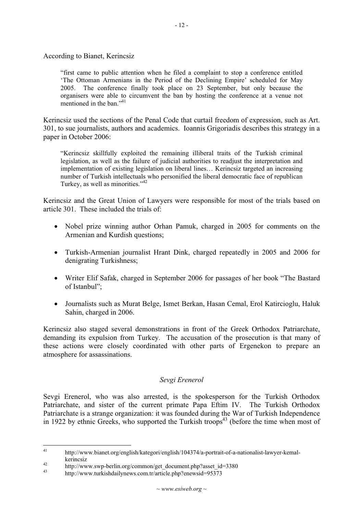According to Bianet, Kerincsiz

"first came to public attention when he filed a complaint to stop a conference entitled 'The Ottoman Armenians in the Period of the Declining Empire' scheduled for May 2005. The conference finally took place on 23 September, but only because the organisers were able to circumvent the ban by hosting the conference at a venue not mentioned in the ban<sup>"41</sup>

Kerincsiz used the sections of the Penal Code that curtail freedom of expression, such as Art. 301, to sue journalists, authors and academics. Ioannis Grigoriadis describes this strategy in a paper in October 2006:

"Kerincsiz skillfully exploited the remaining illiberal traits of the Turkish criminal legislation, as well as the failure of judicial authorities to readjust the interpretation and implementation of existing legislation on liberal lines… Kerincsiz targeted an increasing number of Turkish intellectuals who personified the liberal democratic face of republican Turkey, as well as minorities."<sup>42</sup>

Kerincsiz and the Great Union of Lawyers were responsible for most of the trials based on article 301. These included the trials of:

- Nobel prize winning author Orhan Pamuk, charged in 2005 for comments on the Armenian and Kurdish questions;
- Turkish-Armenian journalist Hrant Dink, charged repeatedly in 2005 and 2006 for denigrating Turkishness;
- Writer Elif Safak, charged in September 2006 for passages of her book "The Bastard" of Istanbul";
- Journalists such as Murat Belge, Ismet Berkan, Hasan Cemal, Erol Katircioglu, Haluk Sahin, charged in 2006.

Kerincsiz also staged several demonstrations in front of the Greek Orthodox Patriarchate, demanding its expulsion from Turkey. The accusation of the prosecution is that many of these actions were closely coordinated with other parts of Ergenekon to prepare an atmosphere for assassinations.

#### *Sevgi Erenerol*

Sevgi Erenerol, who was also arrested, is the spokesperson for the Turkish Orthodox Patriarchate, and sister of the current primate Papa Eftim IV. The Turkish Orthodox Patriarchate is a strange organization: it was founded during the War of Turkish Independence in 1922 by ethnic Greeks, who supported the Turkish troops<sup>43</sup> (before the time when most of

<sup>41</sup> http://www.bianet.org/english/kategori/english/104374/a-portrait-of-a-nationalist-lawyer-kemal-

kerincsiz<br>
http://www.swp-berlin.org/common/get\_document.php?asset\_id=3380<br>
http://www.turkishdailynews.com.tr/article.php?enewsid=95373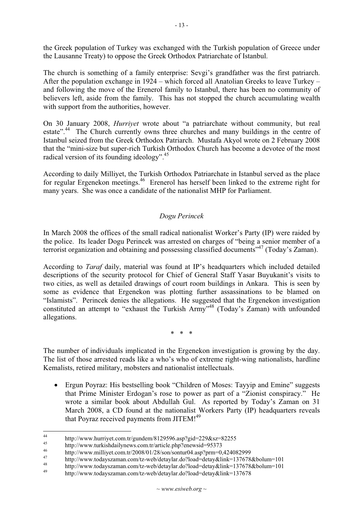the Greek population of Turkey was exchanged with the Turkish population of Greece under the Lausanne Treaty) to oppose the Greek Orthodox Patriarchate of Istanbul.

The church is something of a family enterprise: Sevgi's grandfather was the first patriarch. After the population exchange in 1924 – which forced all Anatolian Greeks to leave Turkey – and following the move of the Erenerol family to Istanbul, there has been no community of believers left, aside from the family. This has not stopped the church accumulating wealth with support from the authorities, however.

On 30 January 2008, *Hurriyet* wrote about "a patriarchate without community, but real estate".<sup>44</sup> The Church currently owns three churches and many buildings in the centre of Istanbul seized from the Greek Orthodox Patriarch. Mustafa Akyol wrote on 2 February 2008 that the "mini-size but super-rich Turkish Orthodox Church has become a devotee of the most radical version of its founding ideology".<sup>45</sup>

According to daily Milliyet, the Turkish Orthodox Patriarchate in Istanbul served as the place for regular Ergenekon meetings.46 Erenerol has herself been linked to the extreme right for many years. She was once a candidate of the nationalist MHP for Parliament.

# *Dogu Perincek*

In March 2008 the offices of the small radical nationalist Worker's Party (IP) were raided by the police. Its leader Dogu Perincek was arrested on charges of "being a senior member of a terrorist organization and obtaining and possessing classified documents<sup>"47</sup> (Today's Zaman).

According to *Taraf* daily, material was found at IP's headquarters which included detailed descriptions of the security protocol for Chief of General Staff Yasar Buyukanit's visits to two cities, as well as detailed drawings of court room buildings in Ankara. This is seen by some as evidence that Ergenekon was plotting further assassinations to be blamed on "Islamists". Perincek denies the allegations. He suggested that the Ergenekon investigation constituted an attempt to "exhaust the Turkish Army"<sup>48</sup> (Today's Zaman) with unfounded allegations.

\* \* \*

The number of individuals implicated in the Ergenekon investigation is growing by the day. The list of those arrested reads like a who's who of extreme right-wing nationalists, hardline Kemalists, retired military, mobsters and nationalist intellectuals.

• Ergun Poyraz: His bestselling book "Children of Moses: Tayyip and Emine" suggests that Prime Minister Erdogan's rose to power as part of a "Zionist conspiracy." He wrote a similar book about Abdullah Gul. As reported by Today's Zaman on 31 March 2008, a CD found at the nationalist Workers Party (IP) headquarters reveals that Poyraz received payments from JITEM!<sup>49</sup>

<sup>44&</sup>lt;br>
http://www.hurriyet.com.tr/gundem/8129596.asp?gid=229&sz=82255<br>
http://www.turkishdailynews.com.tr/article.php?enewsid=95373<br>
http://www.milliyet.com.tr/2008/01/28/son/sontur04.asp?prm=0,424082999<br>
http://www.todaysza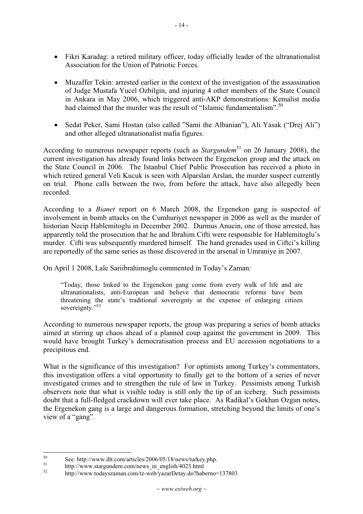- Fikri Karadag: a retired military officer, today officially leader of the ultranationalist Association for the Union of Patriotic Forces.
- Muzaffer Tekin: arrested earlier in the context of the investigation of the assassination of Judge Mustafa Yucel Ozbilgin, and injuring 4 other members of the State Council in Ankara in May 2006, which triggered anti-AKP demonstrations: Kemalist media had claimed that the murder was the result of "Islamic fundamentalism".<sup>50</sup>
- Sedat Peker, Sami Hostan (also called "Sami the Albanian"), Ali Yasak ("Drej Ali") and other alleged ultranationalist mafia figures.

According to numerous newspaper reports (such as *Stargundem*<sup>51</sup> on 26 January 2008), the current investigation has already found links between the Ergenekon group and the attack on the State Council in 2006. The Istanbul Chief Public Prosecution has received a photo in which retired general Veli Kucuk is seen with Alparslan Arslan, the murder suspect currently on trial. Phone calls between the two, from before the attack, have also allegedly been recorded.

According to a *Bianet* report on 6 March 2008, the Ergenekon gang is suspected of involvement in bomb attacks on the Cumhuriyet newspaper in 2006 as well as the murder of historian Necip Hablemitoglu in December 2002. Durmus Anucin, one of those arrested, has apparently told the prosecution that he and Ibrahim Cifti were responsible for Hablemitoglu's murder. Cifti was subsequently murdered himself. The hand grenades used in Ciftci's killing are reportedly of the same series as those discovered in the arsenal in Umraniye in 2007.

On April 1 2008, Lale Sariibrahimoglu commented in Today's Zaman:

"Today, those linked to the Ergenekon gang come from every walk of life and are ultranationalists, anti-European and believe that democratic reforms have been threatening the state's traditional sovereignty at the expense of enlarging citizen sovereignty."<sup>52</sup>

According to numerous newspaper reports, the group was preparing a series of bomb attacks aimed at stirring up chaos ahead of a planned coup against the government in 2009. This would have brought Turkey's democratisation process and EU accession negotiations to a precipitous end.

What is the significance of this investigation? For optimists among Turkey's commentators, this investigation offers a vital opportunity to finally get to the bottom of a series of never investigated crimes and to strengthen the rule of law in Turkey. Pessimists among Turkish observers note that what is visible today is still only the tip of an iceberg. Such pessimists doubt that a full-fledged crackdown will ever take place. As Radikal's Gokhan Ozgun notes, the Ergenekon gang is a large and dangerous formation, stretching beyond the limits of one's view of a "gang".

<sup>50</sup> See: http://www.iht.com/articles/2006/05/18/news/turkey.php.<br>
51 http://www.stargundem.com/news\_in\_english/4023.html<br>
52 http://www.todayszaman.com/tz-web/yazarDetay.do?haberno=137803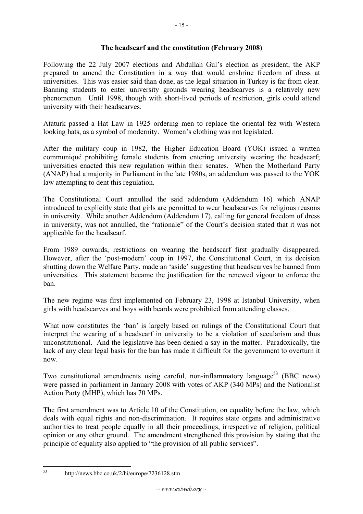- 15 -

#### **The headscarf and the constitution (February 2008)**

Following the 22 July 2007 elections and Abdullah Gul's election as president, the AKP prepared to amend the Constitution in a way that would enshrine freedom of dress at universities. This was easier said than done, as the legal situation in Turkey is far from clear. Banning students to enter university grounds wearing headscarves is a relatively new phenomenon. Until 1998, though with short-lived periods of restriction, girls could attend university with their headscarves.

Ataturk passed a Hat Law in 1925 ordering men to replace the oriental fez with Western looking hats, as a symbol of modernity. Women's clothing was not legislated.

After the military coup in 1982, the Higher Education Board (YOK) issued a written communiqué prohibiting female students from entering university wearing the headscarf; universities enacted this new regulation within their senates. When the Motherland Party (ANAP) had a majority in Parliament in the late 1980s, an addendum was passed to the YOK law attempting to dent this regulation.

The Constitutional Court annulled the said addendum (Addendum 16) which ANAP introduced to explicitly state that girls are permitted to wear headscarves for religious reasons in university. While another Addendum (Addendum 17), calling for general freedom of dress in university, was not annulled, the "rationale" of the Court's decision stated that it was not applicable for the headscarf.

From 1989 onwards, restrictions on wearing the headscarf first gradually disappeared. However, after the 'post-modern' coup in 1997, the Constitutional Court, in its decision shutting down the Welfare Party, made an 'aside' suggesting that headscarves be banned from universities. This statement became the justification for the renewed vigour to enforce the ban.

The new regime was first implemented on February 23, 1998 at Istanbul University, when girls with headscarves and boys with beards were prohibited from attending classes.

What now constitutes the 'ban' is largely based on rulings of the Constitutional Court that interpret the wearing of a headscarf in university to be a violation of secularism and thus unconstitutional. And the legislative has been denied a say in the matter. Paradoxically, the lack of any clear legal basis for the ban has made it difficult for the government to overturn it now.

Two constitutional amendments using careful, non-inflammatory language<sup>53</sup> (BBC news) were passed in parliament in January 2008 with votes of AKP (340 MPs) and the Nationalist Action Party (MHP), which has 70 MPs.

The first amendment was to Article 10 of the Constitution, on equality before the law, which deals with equal rights and non-discrimination. It requires state organs and administrative authorities to treat people equally in all their proceedings, irrespective of religion, political opinion or any other ground. The amendment strengthened this provision by stating that the principle of equality also applied to "the provision of all public services".

<sup>53</sup> http://news.bbc.co.uk/2/hi/europe/7236128.stm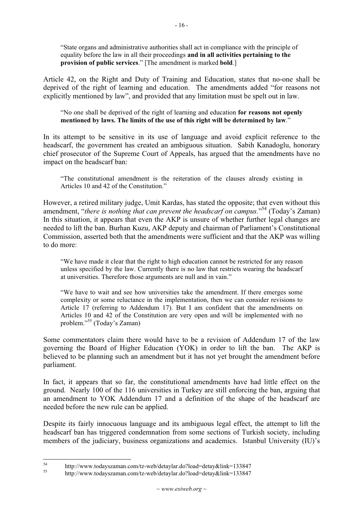"State organs and administrative authorities shall act in compliance with the principle of equality before the law in all their proceedings **and in all activities pertaining to the provision of public services**." [The amendment is marked **bold**.]

Article 42, on the Right and Duty of Training and Education, states that no-one shall be deprived of the right of learning and education. The amendments added "for reasons not explicitly mentioned by law", and provided that any limitation must be spelt out in law.

"No one shall be deprived of the right of learning and education **for reasons not openly mentioned by laws. The limits of the use of this right will be determined by law**."

In its attempt to be sensitive in its use of language and avoid explicit reference to the headscarf, the government has created an ambiguous situation. Sabih Kanadoglu, honorary chief prosecutor of the Supreme Court of Appeals, has argued that the amendments have no impact on the headscarf ban:

"The constitutional amendment is the reiteration of the clauses already existing in Articles 10 and 42 of the Constitution."

However, a retired military judge, Umit Kardas, has stated the opposite; that even without this amendment, "*there is nothing that can prevent the headscarf on campus.*"<sup>54</sup> (Today's Zaman) In this situation, it appears that even the AKP is unsure of whether further legal changes are needed to lift the ban. Burhan Kuzu, AKP deputy and chairman of Parliament's Constitutional Commission, asserted both that the amendments were sufficient and that the AKP was willing to do more:

"We have made it clear that the right to high education cannot be restricted for any reason unless specified by the law. Currently there is no law that restricts wearing the headscarf at universities. Therefore those arguments are null and in vain."

"We have to wait and see how universities take the amendment. If there emerges some complexity or some reluctance in the implementation, then we can consider revisions to Article 17 (referring to Addendum 17). But I am confident that the amendments on Articles 10 and 42 of the Constitution are very open and will be implemented with no problem."55 (Today's Zaman)

Some commentators claim there would have to be a revision of Addendum 17 of the law governing the Board of Higher Education (YOK) in order to lift the ban. The AKP is believed to be planning such an amendment but it has not yet brought the amendment before parliament.

In fact, it appears that so far, the constitutional amendments have had little effect on the ground. Nearly 100 of the 116 universities in Turkey are still enforcing the ban, arguing that an amendment to YOK Addendum 17 and a definition of the shape of the headscarf are needed before the new rule can be applied.

Despite its fairly innocuous language and its ambiguous legal effect, the attempt to lift the headscarf ban has triggered condemnation from some sections of Turkish society, including members of the judiciary, business organizations and academics. Istanbul University (IU)'s

<sup>54</sup> http://www.todayszaman.com/tz-web/detaylar.do?load=detay&link=133847 55 http://www.todayszaman.com/tz-web/detaylar.do?load=detay&link=133847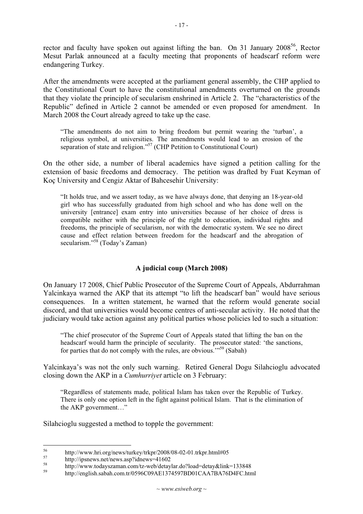rector and faculty have spoken out against lifting the ban. On 31 January  $2008^{56}$ , Rector Mesut Parlak announced at a faculty meeting that proponents of headscarf reform were endangering Turkey.

After the amendments were accepted at the parliament general assembly, the CHP applied to the Constitutional Court to have the constitutional amendments overturned on the grounds that they violate the principle of secularism enshrined in Article 2. The "characteristics of the Republic" defined in Article 2 cannot be amended or even proposed for amendment. In March 2008 the Court already agreed to take up the case.

"The amendments do not aim to bring freedom but permit wearing the 'turban', a religious symbol, at universities. The amendments would lead to an erosion of the separation of state and religion."<sup>57</sup> (CHP Petition to Constitutional Court)

On the other side, a number of liberal academics have signed a petition calling for the extension of basic freedoms and democracy. The petition was drafted by Fuat Keyman of Koç University and Cengiz Aktar of Bahcesehir University:

"It holds true, and we assert today, as we have always done, that denying an 18-year-old girl who has successfully graduated from high school and who has done well on the university [entrance] exam entry into universities because of her choice of dress is compatible neither with the principle of the right to education, individual rights and freedoms, the principle of secularism, nor with the democratic system. We see no direct cause and effect relation between freedom for the headscarf and the abrogation of secularism."<sup>58</sup> (Today's Zaman)

#### **A judicial coup (March 2008)**

On January 17 2008, Chief Public Prosecutor of the Supreme Court of Appeals, Abdurrahman Yalcinkaya warned the AKP that its attempt "to lift the headscarf ban" would have serious consequences. In a written statement, he warned that the reform would generate social discord, and that universities would become centres of anti-secular activity. He noted that the judiciary would take action against any political parties whose policies led to such a situation:

"The chief prosecutor of the Supreme Court of Appeals stated that lifting the ban on the headscarf would harm the principle of secularity. The prosecutor stated: 'the sanctions, for parties that do not comply with the rules, are obvious.'"59 (Sabah)

Yalcinkaya's was not the only such warning. Retired General Dogu Silahcioglu advocated closing down the AKP in a *Cumhurriyet* article on 3 February:

"Regardless of statements made, political Islam has taken over the Republic of Turkey. There is only one option left in the fight against political Islam. That is the elimination of the AKP government…"

Silahcioglu suggested a method to topple the government:

<sup>&</sup>lt;sup>56</sup> http://www.hri.org/news/turkey/trkpr/2008/08-02-01.trkpr.html#05<br>
<sup>57</sup> http://ingnov.go.pt/nows.gorg/idnov.gorg/1602

<sup>&</sup>lt;sup>57</sup> http://ipsnews.net/news.asp?idnews=41602<br>
<sup>58</sup> http://www.todayszaman.com/tz-web/detaylar.do?load=detay&link=133848<br>
<sup>59</sup> http://english.sabah.com.tr/0596C09AE1374597BD01CAA7BA76D4FC.html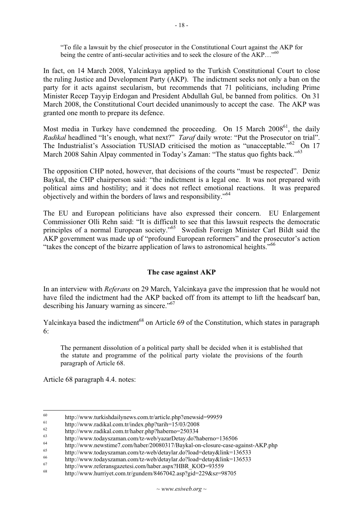"To file a lawsuit by the chief prosecutor in the Constitutional Court against the AKP for being the centre of anti-secular activities and to seek the closure of the AKP..."<sup>60</sup>

In fact, on 14 March 2008, Yalcinkaya applied to the Turkish Constitutional Court to close the ruling Justice and Development Party (AKP). The indictment seeks not only a ban on the party for it acts against secularism, but recommends that 71 politicians, including Prime Minister Recep Tayyip Erdogan and President Abdullah Gul, be banned from politics. On 31 March 2008, the Constitutional Court decided unanimously to accept the case. The AKP was granted one month to prepare its defence.

Most media in Turkey have condemned the proceeding. On 15 March 2008<sup>61</sup>, the daily *Radikal* headlined "It's enough, what next?" *Taraf* daily wrote: "Put the Prosecutor on trial". The Industrialist's Association TUSIAD criticised the motion as "unacceptable."<sup>62</sup> On 17 March 2008 Sahin Alpay commented in Today's Zaman: "The status quo fights back."<sup>63</sup>

The opposition CHP noted, however, that decisions of the courts "must be respected". Deniz Baykal, the CHP chairperson said: "the indictment is a legal one. It was not prepared with political aims and hostility; and it does not reflect emotional reactions. It was prepared objectively and within the borders of laws and responsibility."<sup>64</sup>

The EU and European politicians have also expressed their concern. EU Enlargement Commissioner Olli Rehn said: "It is difficult to see that this lawsuit respects the democratic principles of a normal European society."<sup>65</sup> Swedish Foreign Minister Carl Bildt said the AKP government was made up of "profound European reformers" and the prosecutor's action "takes the concept of the bizarre application of laws to astronomical heights."<sup>66</sup>

#### **The case against AKP**

In an interview with *Referans* on 29 March, Yalcinkaya gave the impression that he would not have filed the indictment had the AKP backed off from its attempt to lift the headscarf ban, describing his January warning as sincere."67

Yalcinkaya based the indictment<sup>68</sup> on Article 69 of the Constitution, which states in paragraph 6:

The permanent dissolution of a political party shall be decided when it is established that the statute and programme of the political party violate the provisions of the fourth paragraph of Article 68.

Article 68 paragraph 4.4. notes:

<sup>&</sup>lt;sup>60</sup><br>
http://www.turkishdailynews.com.tr/article.php?enewsid=99959<br>
http://www.radikal.com.tr/index.php?tarih=15/03/2008<br>
http://www.radikal.com.tr/haber.php?haberno=250334<br>
http://www.todayszaman.com/tz-web/yazarDetay.do

<sup>&</sup>lt;sup>64</sup> http://www.newstime7.com/haber/20080317/Baykal-on-closure-case-against-AKP.php<br>
<sup>65</sup> http://www.todayszaman.com/tz-web/detaylar.do?load=detay&link=136533<br>
http://www.todayszaman.com/tz-web/detaylar.do?load=detay&link

<sup>68</sup> http://www.hurriyet.com.tr/gundem/8467042.asp?gid=229&sz=98705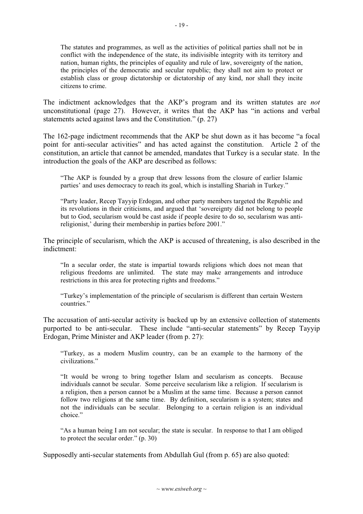The statutes and programmes, as well as the activities of political parties shall not be in conflict with the independence of the state, its indivisible integrity with its territory and nation, human rights, the principles of equality and rule of law, sovereignty of the nation, the principles of the democratic and secular republic; they shall not aim to protect or establish class or group dictatorship or dictatorship of any kind, nor shall they incite citizens to crime.

The indictment acknowledges that the AKP's program and its written statutes are *not* unconstitutional (page 27). However, it writes that the AKP has "in actions and verbal statements acted against laws and the Constitution." (p. 27)

The 162-page indictment recommends that the AKP be shut down as it has become "a focal point for anti-secular activities" and has acted against the constitution. Article 2 of the constitution, an article that cannot be amended, mandates that Turkey is a secular state. In the introduction the goals of the AKP are described as follows:

"The AKP is founded by a group that drew lessons from the closure of earlier Islamic parties' and uses democracy to reach its goal, which is installing Shariah in Turkey."

"Party leader, Recep Tayyip Erdogan, and other party members targeted the Republic and its revolutions in their criticisms, and argued that 'sovereignty did not belong to people but to God, secularism would be cast aside if people desire to do so, secularism was antireligionist,' during their membership in parties before 2001."

The principle of secularism, which the AKP is accused of threatening, is also described in the indictment:

"In a secular order, the state is impartial towards religions which does not mean that religious freedoms are unlimited. The state may make arrangements and introduce restrictions in this area for protecting rights and freedoms."

"Turkey's implementation of the principle of secularism is different than certain Western countries."

The accusation of anti-secular activity is backed up by an extensive collection of statements purported to be anti-secular. These include "anti-secular statements" by Recep Tayyip Erdogan, Prime Minister and AKP leader (from p. 27):

"Turkey, as a modern Muslim country, can be an example to the harmony of the civilizations."

"It would be wrong to bring together Islam and secularism as concepts. Because individuals cannot be secular. Some perceive secularism like a religion. If secularism is a religion, then a person cannot be a Muslim at the same time. Because a person cannot follow two religions at the same time. By definition, secularism is a system; states and not the individuals can be secular. Belonging to a certain religion is an individual choice."

"As a human being I am not secular; the state is secular. In response to that I am obliged to protect the secular order." (p. 30)

Supposedly anti-secular statements from Abdullah Gul (from p. 65) are also quoted: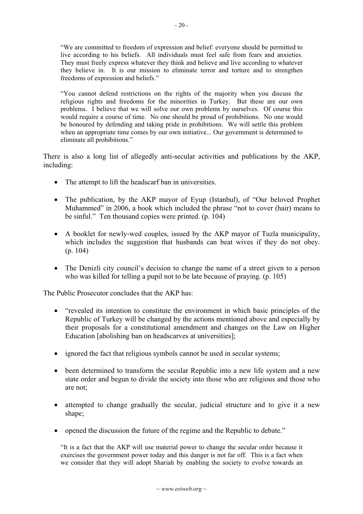"We are committed to freedom of expression and belief: everyone should be permitted to live according to his beliefs. All individuals must feel safe from fears and anxieties. They must freely express whatever they think and believe and live according to whatever they believe in. It is our mission to eliminate terror and torture and to strengthen freedoms of expression and beliefs."

"You cannot defend restrictions on the rights of the majority when you discuss the religious rights and freedoms for the minorities in Turkey. But these are our own problems. I believe that we will solve our own problems by ourselves. Of course this would require a course of time. No one should be proud of prohibitions. No one would be honoured by defending and taking pride in prohibitions. We will settle this problem when an appropriate time comes by our own initiative... Our government is determined to eliminate all prohibitions."

There is also a long list of allegedly anti-secular activities and publications by the AKP, including:

- The attempt to lift the headscarf ban in universities.
- The publication, by the AKP mayor of Eyup (Istanbul), of "Our beloved Prophet" Muhammed" in 2006, a book which included the phrase "not to cover (hair) means to be sinful." Ten thousand copies were printed. (p. 104)
- A booklet for newly-wed couples, issued by the AKP mayor of Tuzla municipality, which includes the suggestion that husbands can beat wives if they do not obey. (p. 104)
- The Denizli city council's decision to change the name of a street given to a person who was killed for telling a pupil not to be late because of praying. (p. 105)

The Public Prosecutor concludes that the AKP has:

- "revealed its intention to constitute the environment in which basic principles of the Republic of Turkey will be changed by the actions mentioned above and especially by their proposals for a constitutional amendment and changes on the Law on Higher Education [abolishing ban on headscarves at universities];
- $\bullet$  ignored the fact that religious symbols cannot be used in secular systems;
- been determined to transform the secular Republic into a new life system and a new state order and begun to divide the society into those who are religious and those who are not;
- attempted to change gradually the secular, judicial structure and to give it a new shape:
- opened the discussion the future of the regime and the Republic to debate."

"It is a fact that the AKP will use material power to change the secular order because it exercises the government power today and this danger is not far off. This is a fact when we consider that they will adopt Shariah by enabling the society to evolve towards an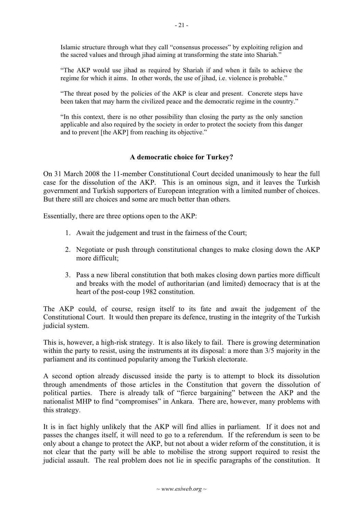Islamic structure through what they call "consensus processes" by exploiting religion and the sacred values and through jihad aiming at transforming the state into Shariah."

"The AKP would use jihad as required by Shariah if and when it fails to achieve the regime for which it aims. In other words, the use of jihad, i.e. violence is probable."

"The threat posed by the policies of the AKP is clear and present. Concrete steps have been taken that may harm the civilized peace and the democratic regime in the country."

"In this context, there is no other possibility than closing the party as the only sanction applicable and also required by the society in order to protect the society from this danger and to prevent [the AKP] from reaching its objective."

#### **A democratic choice for Turkey?**

On 31 March 2008 the 11-member Constitutional Court decided unanimously to hear the full case for the dissolution of the AKP. This is an ominous sign, and it leaves the Turkish government and Turkish supporters of European integration with a limited number of choices. But there still are choices and some are much better than others.

Essentially, there are three options open to the AKP:

- 1. Await the judgement and trust in the fairness of the Court;
- 2. Negotiate or push through constitutional changes to make closing down the AKP more difficult;
- 3. Pass a new liberal constitution that both makes closing down parties more difficult and breaks with the model of authoritarian (and limited) democracy that is at the heart of the post-coup 1982 constitution.

The AKP could, of course, resign itself to its fate and await the judgement of the Constitutional Court. It would then prepare its defence, trusting in the integrity of the Turkish judicial system.

This is, however, a high-risk strategy. It is also likely to fail. There is growing determination within the party to resist, using the instruments at its disposal: a more than  $3/5$  majority in the parliament and its continued popularity among the Turkish electorate.

A second option already discussed inside the party is to attempt to block its dissolution through amendments of those articles in the Constitution that govern the dissolution of political parties. There is already talk of "fierce bargaining" between the AKP and the nationalist MHP to find "compromises" in Ankara. There are, however, many problems with this strategy.

It is in fact highly unlikely that the AKP will find allies in parliament. If it does not and passes the changes itself, it will need to go to a referendum. If the referendum is seen to be only about a change to protect the AKP, but not about a wider reform of the constitution, it is not clear that the party will be able to mobilise the strong support required to resist the judicial assault. The real problem does not lie in specific paragraphs of the constitution. It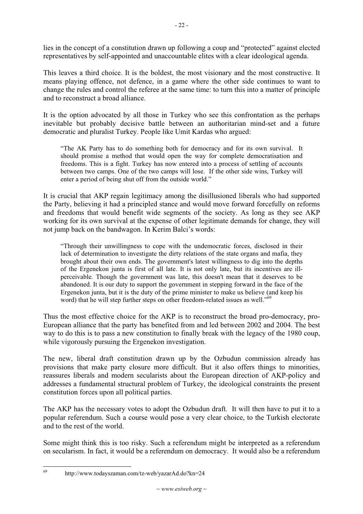lies in the concept of a constitution drawn up following a coup and "protected" against elected representatives by self-appointed and unaccountable elites with a clear ideological agenda.

This leaves a third choice. It is the boldest, the most visionary and the most constructive. It means playing offence, not defence, in a game where the other side continues to want to change the rules and control the referee at the same time: to turn this into a matter of principle and to reconstruct a broad alliance.

It is the option advocated by all those in Turkey who see this confrontation as the perhaps inevitable but probably decisive battle between an authoritarian mind-set and a future democratic and pluralist Turkey. People like Umit Kardas who argued:

"The AK Party has to do something both for democracy and for its own survival. It should promise a method that would open the way for complete democratisation and freedoms. This is a fight. Turkey has now entered into a process of settling of accounts between two camps. One of the two camps will lose. If the other side wins, Turkey will enter a period of being shut off from the outside world."

It is crucial that AKP regain legitimacy among the disillusioned liberals who had supported the Party, believing it had a principled stance and would move forward forcefully on reforms and freedoms that would benefit wide segments of the society. As long as they see AKP working for its own survival at the expense of other legitimate demands for change, they will not jump back on the bandwagon. In Kerim Balci's words:

"Through their unwillingness to cope with the undemocratic forces, disclosed in their lack of determination to investigate the dirty relations of the state organs and mafia, they brought about their own ends. The government's latest willingness to dig into the depths of the Ergenekon junta is first of all late. It is not only late, but its incentives are illperceivable. Though the government was late, this doesn't mean that it deserves to be abandoned. It is our duty to support the government in stepping forward in the face of the Ergenekon junta, but it is the duty of the prime minister to make us believe (and keep his word) that he will step further steps on other freedom-related issues as well."<sup>69</sup>

Thus the most effective choice for the AKP is to reconstruct the broad pro-democracy, pro-European alliance that the party has benefited from and led between 2002 and 2004. The best way to do this is to pass a new constitution to finally break with the legacy of the 1980 coup, while vigorously pursuing the Ergenekon investigation.

The new, liberal draft constitution drawn up by the Ozbudun commission already has provisions that make party closure more difficult. But it also offers things to minorities, reassures liberals and modern secularists about the European direction of AKP-policy and addresses a fundamental structural problem of Turkey, the ideological constraints the present constitution forces upon all political parties.

The AKP has the necessary votes to adopt the Ozbudun draft. It will then have to put it to a popular referendum. Such a course would pose a very clear choice, to the Turkish electorate and to the rest of the world.

Some might think this is too risky. Such a referendum might be interpreted as a referendum on secularism. In fact, it would be a referendum on democracy. It would also be a referendum

<sup>69</sup> http://www.todayszaman.com/tz-web/yazarAd.do?kn=24